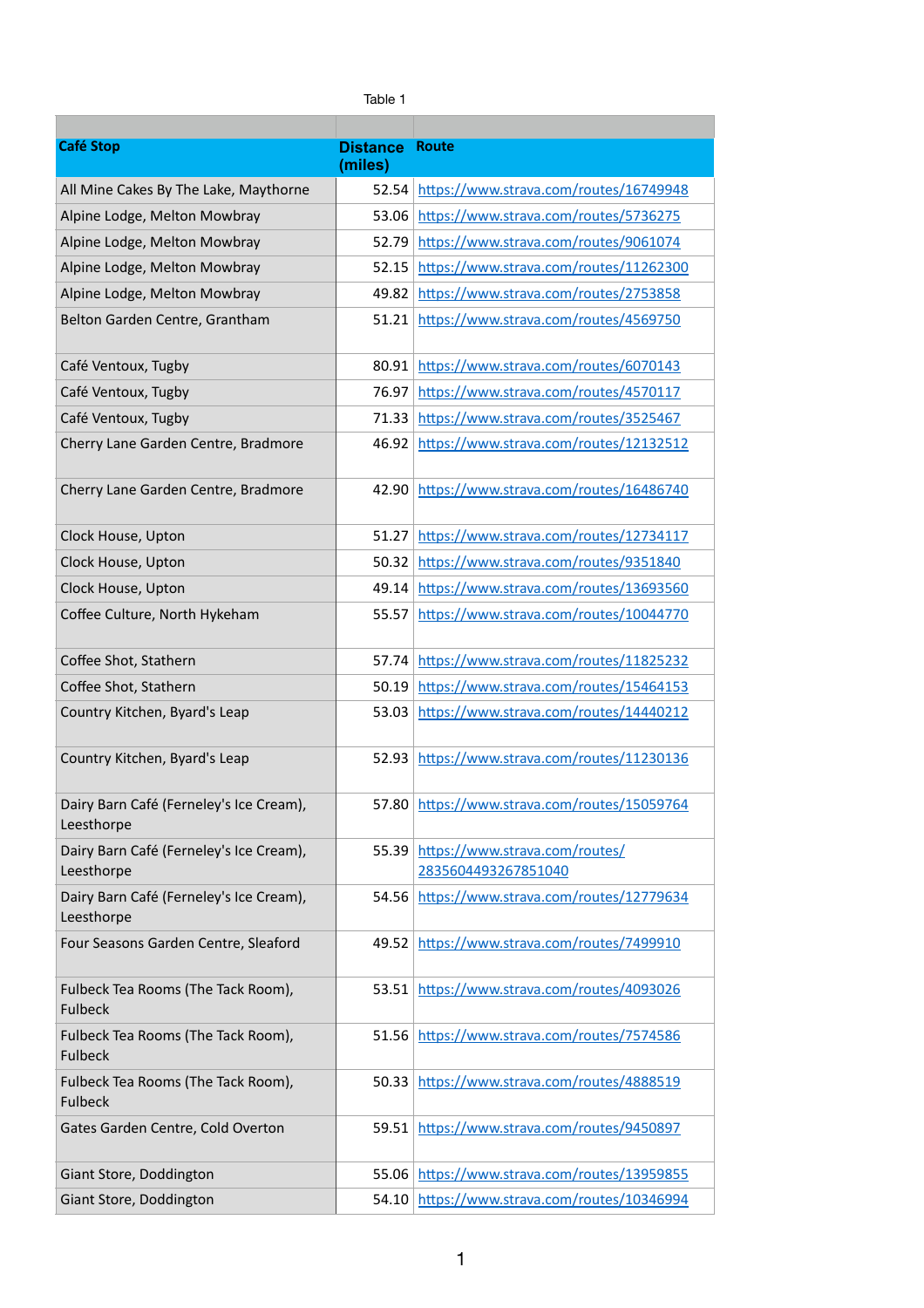| <b>Café Stop</b>                                      | <b>Distance</b><br>(miles) | <b>Route</b>                                                |
|-------------------------------------------------------|----------------------------|-------------------------------------------------------------|
| All Mine Cakes By The Lake, Maythorne                 | 52.54                      | https://www.strava.com/routes/16749948                      |
| Alpine Lodge, Melton Mowbray                          | 53.06                      | https://www.strava.com/routes/5736275                       |
| Alpine Lodge, Melton Mowbray                          | 52.79                      | https://www.strava.com/routes/9061074                       |
| Alpine Lodge, Melton Mowbray                          | 52.15                      | https://www.strava.com/routes/11262300                      |
| Alpine Lodge, Melton Mowbray                          | 49.82                      | https://www.strava.com/routes/2753858                       |
| Belton Garden Centre, Grantham                        | 51.21                      | https://www.strava.com/routes/4569750                       |
| Café Ventoux, Tugby                                   | 80.91                      | https://www.strava.com/routes/6070143                       |
| Café Ventoux, Tugby                                   | 76.97                      | https://www.strava.com/routes/4570117                       |
| Café Ventoux, Tugby                                   | 71.33                      | https://www.strava.com/routes/3525467                       |
| Cherry Lane Garden Centre, Bradmore                   | 46.92                      | https://www.strava.com/routes/12132512                      |
| Cherry Lane Garden Centre, Bradmore                   | 42.90                      | https://www.strava.com/routes/16486740                      |
| Clock House, Upton                                    | 51.27                      | https://www.strava.com/routes/12734117                      |
| Clock House, Upton                                    | 50.32                      | https://www.strava.com/routes/9351840                       |
| Clock House, Upton                                    | 49.14                      | https://www.strava.com/routes/13693560                      |
| Coffee Culture, North Hykeham                         |                            | 55.57 https://www.strava.com/routes/10044770                |
| Coffee Shot, Stathern                                 |                            | 57.74 https://www.strava.com/routes/11825232                |
| Coffee Shot, Stathern                                 | 50.19                      | https://www.strava.com/routes/15464153                      |
| Country Kitchen, Byard's Leap                         | 53.03                      | https://www.strava.com/routes/14440212                      |
| Country Kitchen, Byard's Leap                         | 52.93                      | https://www.strava.com/routes/11230136                      |
| Dairy Barn Café (Ferneley's Ice Cream),<br>Leesthorpe |                            | 57.80 https://www.strava.com/routes/15059764                |
| Dairy Barn Café (Ferneley's Ice Cream),<br>Leesthorpe |                            | 55.39 https://www.strava.com/routes/<br>2835604493267851040 |
| Dairy Barn Café (Ferneley's Ice Cream),<br>Leesthorpe |                            | 54.56 https://www.strava.com/routes/12779634                |
| Four Seasons Garden Centre, Sleaford                  |                            | 49.52 https://www.strava.com/routes/7499910                 |
| Fulbeck Tea Rooms (The Tack Room),<br><b>Fulbeck</b>  | 53.51                      | https://www.strava.com/routes/4093026                       |
| Fulbeck Tea Rooms (The Tack Room),<br><b>Fulbeck</b>  |                            | 51.56 https://www.strava.com/routes/7574586                 |
| Fulbeck Tea Rooms (The Tack Room),<br><b>Fulbeck</b>  |                            | 50.33 https://www.strava.com/routes/4888519                 |
| Gates Garden Centre, Cold Overton                     |                            | 59.51 https://www.strava.com/routes/9450897                 |
| Giant Store, Doddington                               | 55.06                      | https://www.strava.com/routes/13959855                      |
| Giant Store, Doddington                               | 54.10                      | https://www.strava.com/routes/10346994                      |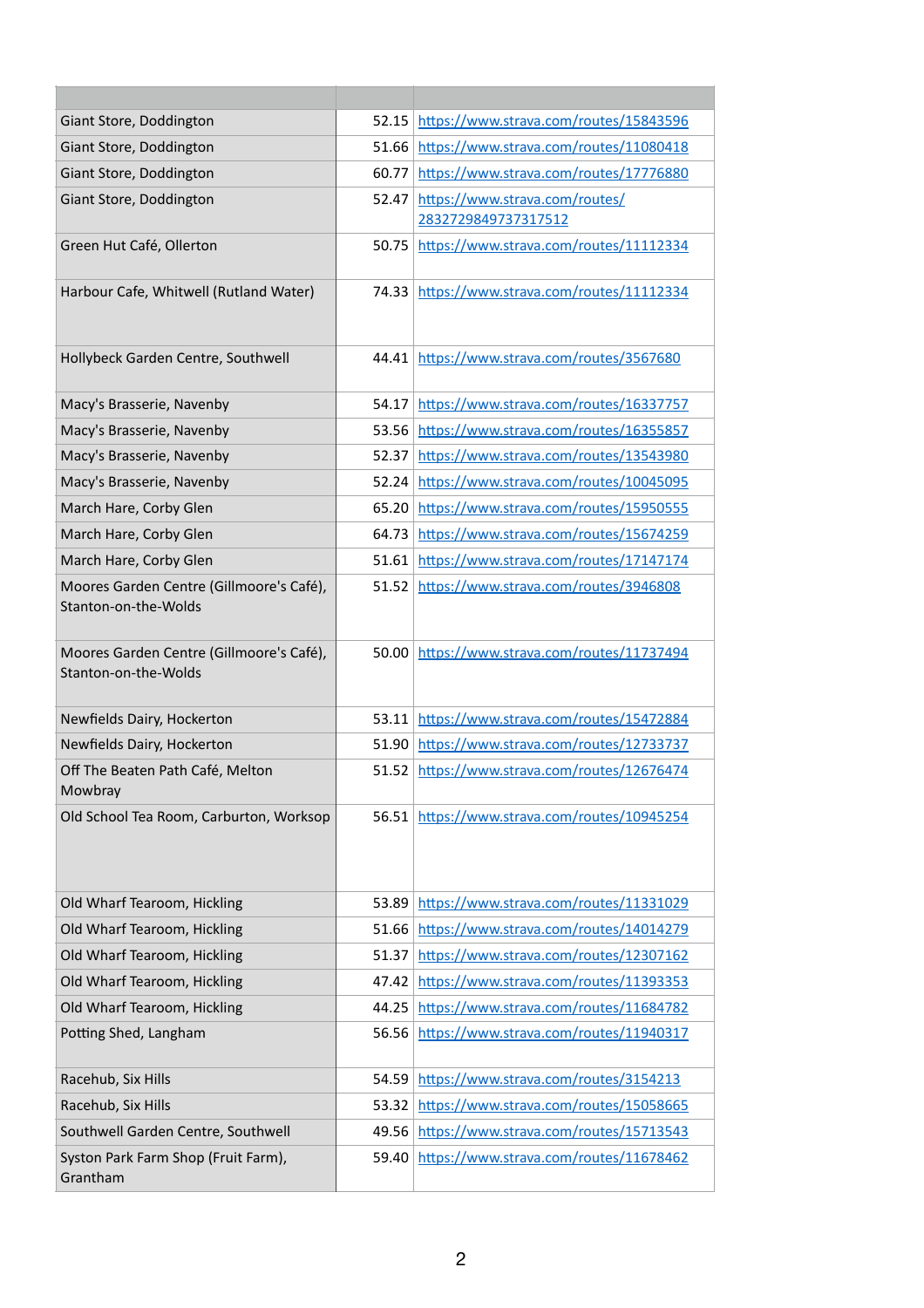| Giant Store, Doddington                                          | 52.15 | https://www.strava.com/routes/15843596                |
|------------------------------------------------------------------|-------|-------------------------------------------------------|
| Giant Store, Doddington                                          | 51.66 | https://www.strava.com/routes/11080418                |
| Giant Store, Doddington                                          | 60.77 | https://www.strava.com/routes/17776880                |
| Giant Store, Doddington                                          | 52.47 | https://www.strava.com/routes/<br>2832729849737317512 |
| Green Hut Café, Ollerton                                         | 50.75 | https://www.strava.com/routes/11112334                |
| Harbour Cafe, Whitwell (Rutland Water)                           | 74.33 | https://www.strava.com/routes/11112334                |
| Hollybeck Garden Centre, Southwell                               | 44.41 | https://www.strava.com/routes/3567680                 |
| Macy's Brasserie, Navenby                                        | 54.17 | https://www.strava.com/routes/16337757                |
| Macy's Brasserie, Navenby                                        | 53.56 | https://www.strava.com/routes/16355857                |
| Macy's Brasserie, Navenby                                        | 52.37 | https://www.strava.com/routes/13543980                |
| Macy's Brasserie, Navenby                                        | 52.24 | https://www.strava.com/routes/10045095                |
| March Hare, Corby Glen                                           | 65.20 | https://www.strava.com/routes/15950555                |
| March Hare, Corby Glen                                           | 64.73 | https://www.strava.com/routes/15674259                |
| March Hare, Corby Glen                                           | 51.61 | https://www.strava.com/routes/17147174                |
| Moores Garden Centre (Gillmoore's Café),<br>Stanton-on-the-Wolds |       | 51.52 https://www.strava.com/routes/3946808           |
| Moores Garden Centre (Gillmoore's Café),<br>Stanton-on-the-Wolds | 50.00 | https://www.strava.com/routes/11737494                |
| Newfields Dairy, Hockerton                                       | 53.11 | https://www.strava.com/routes/15472884                |
| Newfields Dairy, Hockerton                                       | 51.90 | https://www.strava.com/routes/12733737                |
| Off The Beaten Path Café, Melton<br>Mowbray                      | 51.52 | https://www.strava.com/routes/12676474                |
| Old School Tea Room, Carburton, Worksop                          | 56.51 | https://www.strava.com/routes/10945254                |
| Old Wharf Tearoom, Hickling                                      | 53.89 | https://www.strava.com/routes/11331029                |
| Old Wharf Tearoom, Hickling                                      | 51.66 | https://www.strava.com/routes/14014279                |
| Old Wharf Tearoom, Hickling                                      | 51.37 | https://www.strava.com/routes/12307162                |
| Old Wharf Tearoom, Hickling                                      | 47.42 | https://www.strava.com/routes/11393353                |
| Old Wharf Tearoom, Hickling                                      | 44.25 | https://www.strava.com/routes/11684782                |
| Potting Shed, Langham                                            | 56.56 | https://www.strava.com/routes/11940317                |
| Racehub, Six Hills                                               | 54.59 | https://www.strava.com/routes/3154213                 |
| Racehub, Six Hills                                               | 53.32 | https://www.strava.com/routes/15058665                |
| Southwell Garden Centre, Southwell                               | 49.56 | https://www.strava.com/routes/15713543                |
| Syston Park Farm Shop (Fruit Farm),<br>Grantham                  | 59.40 | https://www.strava.com/routes/11678462                |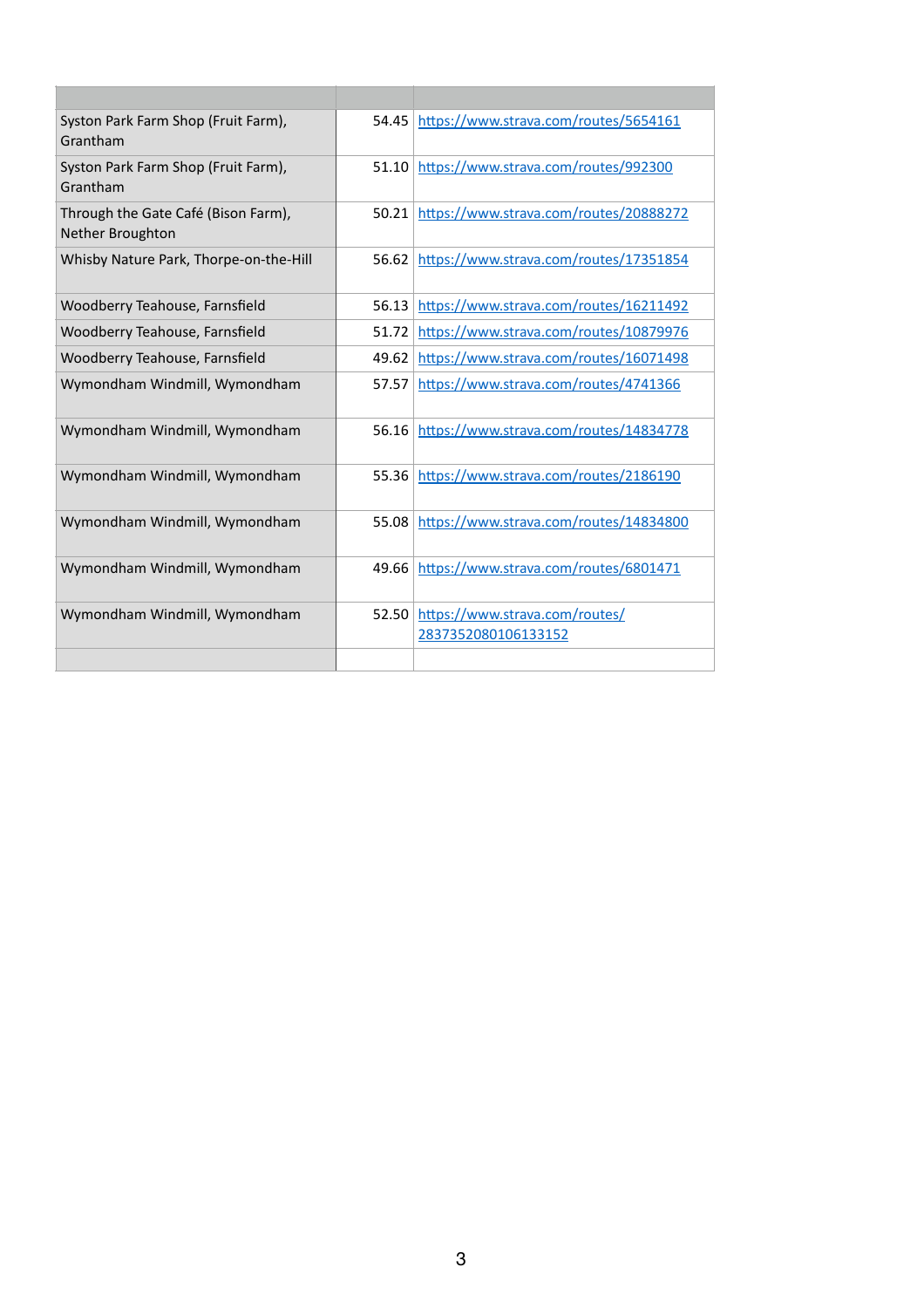| Syston Park Farm Shop (Fruit Farm),<br>Grantham                | 54.45 | https://www.strava.com/routes/5654161                 |
|----------------------------------------------------------------|-------|-------------------------------------------------------|
| Syston Park Farm Shop (Fruit Farm),<br>Grantham                | 51.10 | https://www.strava.com/routes/992300                  |
| Through the Gate Café (Bison Farm),<br><b>Nether Broughton</b> | 50.21 | https://www.strava.com/routes/20888272                |
| Whisby Nature Park, Thorpe-on-the-Hill                         | 56.62 | https://www.strava.com/routes/17351854                |
| Woodberry Teahouse, Farnsfield                                 | 56.13 | https://www.strava.com/routes/16211492                |
| Woodberry Teahouse, Farnsfield                                 | 51.72 | https://www.strava.com/routes/10879976                |
| <b>Woodberry Teahouse, Farnsfield</b>                          | 49.62 | https://www.strava.com/routes/16071498                |
| Wymondham Windmill, Wymondham                                  | 57.57 | https://www.strava.com/routes/4741366                 |
| Wymondham Windmill, Wymondham                                  | 56.16 | https://www.strava.com/routes/14834778                |
| Wymondham Windmill, Wymondham                                  | 55.36 | https://www.strava.com/routes/2186190                 |
| Wymondham Windmill, Wymondham                                  | 55.08 | https://www.strava.com/routes/14834800                |
| Wymondham Windmill, Wymondham                                  | 49.66 | https://www.strava.com/routes/6801471                 |
| Wymondham Windmill, Wymondham                                  | 52.50 | https://www.strava.com/routes/<br>2837352080106133152 |
|                                                                |       |                                                       |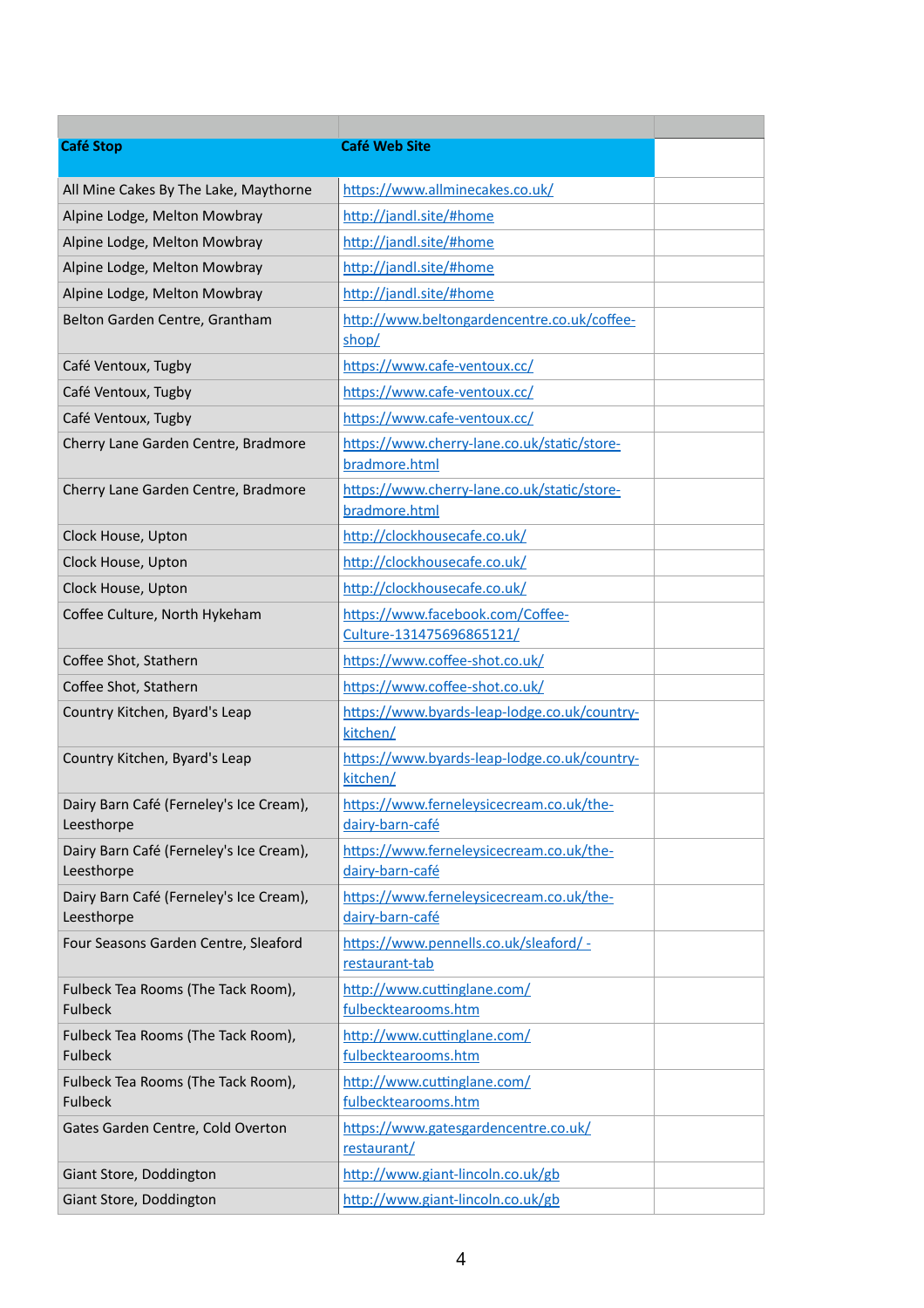| <b>Café Stop</b>                                      | <b>Café Web Site</b>                                         |  |
|-------------------------------------------------------|--------------------------------------------------------------|--|
| All Mine Cakes By The Lake, Maythorne                 | https://www.allminecakes.co.uk/                              |  |
| Alpine Lodge, Melton Mowbray                          | http://jandl.site/#home                                      |  |
| Alpine Lodge, Melton Mowbray                          | http://jandl.site/#home                                      |  |
| Alpine Lodge, Melton Mowbray                          | http://jandl.site/#home                                      |  |
| Alpine Lodge, Melton Mowbray                          | http://jandl.site/#home                                      |  |
| Belton Garden Centre, Grantham                        | http://www.beltongardencentre.co.uk/coffee-<br>shop/         |  |
| Café Ventoux, Tugby                                   | https://www.cafe-ventoux.cc/                                 |  |
| Café Ventoux, Tugby                                   | https://www.cafe-ventoux.cc/                                 |  |
| Café Ventoux, Tugby                                   | https://www.cafe-ventoux.cc/                                 |  |
| Cherry Lane Garden Centre, Bradmore                   | https://www.cherry-lane.co.uk/static/store-<br>bradmore.html |  |
| Cherry Lane Garden Centre, Bradmore                   | https://www.cherry-lane.co.uk/static/store-<br>bradmore.html |  |
| Clock House, Upton                                    | http://clockhousecafe.co.uk/                                 |  |
| Clock House, Upton                                    | http://clockhousecafe.co.uk/                                 |  |
| Clock House, Upton                                    | http://clockhousecafe.co.uk/                                 |  |
| Coffee Culture, North Hykeham                         | https://www.facebook.com/Coffee-<br>Culture-131475696865121/ |  |
| Coffee Shot, Stathern                                 | https://www.coffee-shot.co.uk/                               |  |
| Coffee Shot, Stathern                                 | https://www.coffee-shot.co.uk/                               |  |
| Country Kitchen, Byard's Leap                         | https://www.byards-leap-lodge.co.uk/country-<br>kitchen/     |  |
| Country Kitchen, Byard's Leap                         | https://www.byards-leap-lodge.co.uk/country-<br>kitchen/     |  |
| Dairy Barn Café (Ferneley's Ice Cream),<br>Leesthorpe | https://www.ferneleysicecream.co.uk/the-<br>dairy-barn-café  |  |
| Dairy Barn Café (Ferneley's Ice Cream),<br>Leesthorpe | https://www.ferneleysicecream.co.uk/the-<br>dairy-barn-café  |  |
| Dairy Barn Café (Ferneley's Ice Cream),<br>Leesthorpe | https://www.ferneleysicecream.co.uk/the-<br>dairy-barn-café  |  |
| Four Seasons Garden Centre, Sleaford                  | https://www.pennells.co.uk/sleaford/ -<br>restaurant-tab     |  |
| Fulbeck Tea Rooms (The Tack Room),<br><b>Fulbeck</b>  | http://www.cuttinglane.com/<br>fulbecktearooms.htm           |  |
| Fulbeck Tea Rooms (The Tack Room),<br><b>Fulbeck</b>  | http://www.cuttinglane.com/<br>fulbecktearooms.htm           |  |
| Fulbeck Tea Rooms (The Tack Room),<br><b>Fulbeck</b>  | http://www.cuttinglane.com/<br>fulbecktearooms.htm           |  |
| Gates Garden Centre, Cold Overton                     | https://www.gatesgardencentre.co.uk/<br>restaurant/          |  |
| Giant Store, Doddington                               | http://www.giant-lincoln.co.uk/gb                            |  |
| Giant Store, Doddington                               | http://www.giant-lincoln.co.uk/gb                            |  |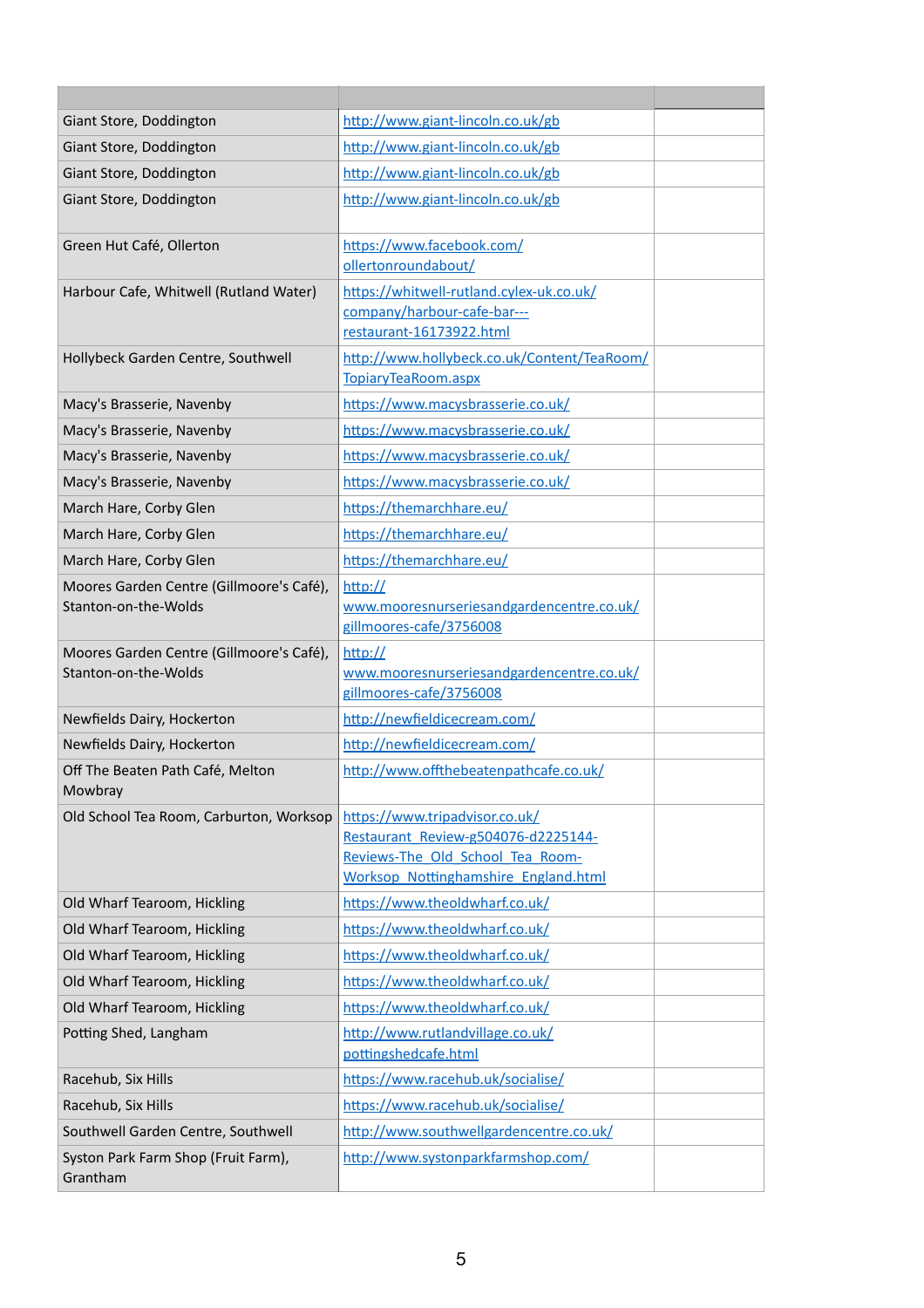| Giant Store, Doddington                                          | http://www.giant-lincoln.co.uk/gb                                                                                                                        |  |
|------------------------------------------------------------------|----------------------------------------------------------------------------------------------------------------------------------------------------------|--|
| Giant Store, Doddington                                          | http://www.giant-lincoln.co.uk/gb                                                                                                                        |  |
| Giant Store, Doddington                                          | http://www.giant-lincoln.co.uk/gb                                                                                                                        |  |
| Giant Store, Doddington                                          | http://www.giant-lincoln.co.uk/gb                                                                                                                        |  |
| Green Hut Café, Ollerton                                         | https://www.facebook.com/<br>ollertonroundabout/                                                                                                         |  |
| Harbour Cafe, Whitwell (Rutland Water)                           | https://whitwell-rutland.cylex-uk.co.uk/<br>company/harbour-cafe-bar---<br>restaurant-16173922.html                                                      |  |
| Hollybeck Garden Centre, Southwell                               | http://www.hollybeck.co.uk/Content/TeaRoom/<br>TopiaryTeaRoom.aspx                                                                                       |  |
| Macy's Brasserie, Navenby                                        | https://www.macysbrasserie.co.uk/                                                                                                                        |  |
| Macy's Brasserie, Navenby                                        | https://www.macysbrasserie.co.uk/                                                                                                                        |  |
| Macy's Brasserie, Navenby                                        | https://www.macysbrasserie.co.uk/                                                                                                                        |  |
| Macy's Brasserie, Navenby                                        | https://www.macysbrasserie.co.uk/                                                                                                                        |  |
| March Hare, Corby Glen                                           | https://themarchhare.eu/                                                                                                                                 |  |
| March Hare, Corby Glen                                           | https://themarchhare.eu/                                                                                                                                 |  |
| March Hare, Corby Glen                                           | https://themarchhare.eu/                                                                                                                                 |  |
| Moores Garden Centre (Gillmoore's Café),<br>Stanton-on-the-Wolds | http://<br>www.mooresnurseriesandgardencentre.co.uk/<br>gillmoores-cafe/3756008                                                                          |  |
| Moores Garden Centre (Gillmoore's Café),<br>Stanton-on-the-Wolds | http://<br>www.mooresnurseriesandgardencentre.co.uk/<br>gillmoores-cafe/3756008                                                                          |  |
| Newfields Dairy, Hockerton                                       | http://newfieldicecream.com/                                                                                                                             |  |
| Newfields Dairy, Hockerton                                       | http://newfieldicecream.com/                                                                                                                             |  |
| Off The Beaten Path Café, Melton<br>Mowbray                      | http://www.offthebeatenpathcafe.co.uk/                                                                                                                   |  |
| Old School Tea Room, Carburton, Worksop                          | https://www.tripadvisor.co.uk/<br>Restaurant Review-g504076-d2225144-<br>Reviews-The Old School Tea Room-<br><b>Worksop Nottinghamshire England.html</b> |  |
| Old Wharf Tearoom, Hickling                                      | https://www.theoldwharf.co.uk/                                                                                                                           |  |
| Old Wharf Tearoom, Hickling                                      | https://www.theoldwharf.co.uk/                                                                                                                           |  |
| Old Wharf Tearoom, Hickling                                      | https://www.theoldwharf.co.uk/                                                                                                                           |  |
| Old Wharf Tearoom, Hickling                                      | https://www.theoldwharf.co.uk/                                                                                                                           |  |
| Old Wharf Tearoom, Hickling                                      | https://www.theoldwharf.co.uk/                                                                                                                           |  |
| Potting Shed, Langham                                            | http://www.rutlandvillage.co.uk/<br>pottingshedcafe.html                                                                                                 |  |
| Racehub, Six Hills                                               | https://www.racehub.uk/socialise/                                                                                                                        |  |
| Racehub, Six Hills                                               | https://www.racehub.uk/socialise/                                                                                                                        |  |
| Southwell Garden Centre, Southwell                               | http://www.southwellgardencentre.co.uk/                                                                                                                  |  |
| Syston Park Farm Shop (Fruit Farm),<br>Grantham                  | http://www.systonparkfarmshop.com/                                                                                                                       |  |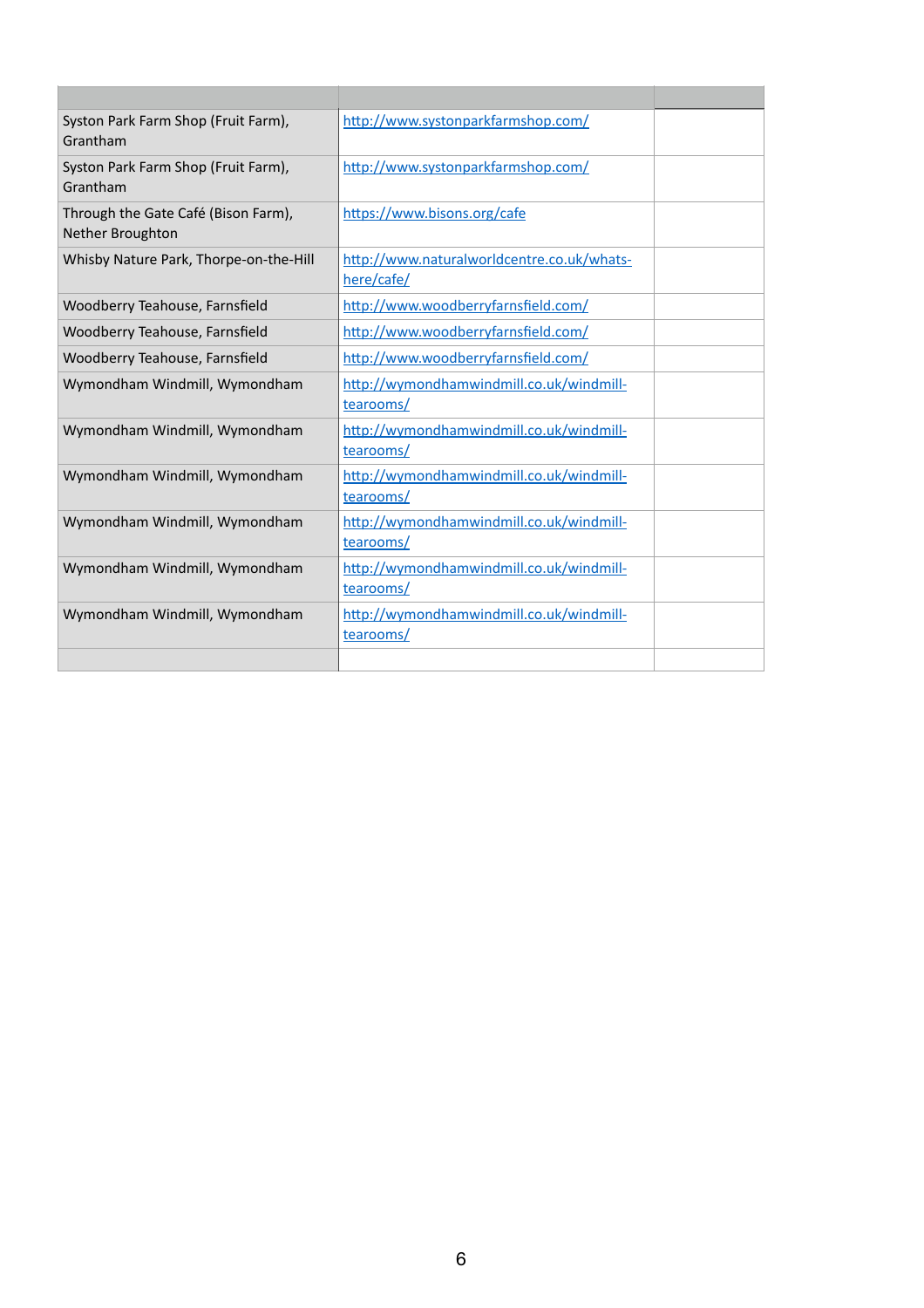| Syston Park Farm Shop (Fruit Farm),<br>Grantham                | http://www.systonparkfarmshop.com/                       |
|----------------------------------------------------------------|----------------------------------------------------------|
| Syston Park Farm Shop (Fruit Farm),<br>Grantham                | http://www.systonparkfarmshop.com/                       |
| Through the Gate Café (Bison Farm),<br><b>Nether Broughton</b> | https://www.bisons.org/cafe                              |
| Whisby Nature Park, Thorpe-on-the-Hill                         | http://www.naturalworldcentre.co.uk/whats-<br>here/cafe/ |
| Woodberry Teahouse, Farnsfield                                 | http://www.woodberryfarnsfield.com/                      |
| Woodberry Teahouse, Farnsfield                                 | http://www.woodberryfarnsfield.com/                      |
| Woodberry Teahouse, Farnsfield                                 | http://www.woodberryfarnsfield.com/                      |
| Wymondham Windmill, Wymondham                                  | http://wymondhamwindmill.co.uk/windmill-<br>tearooms/    |
| Wymondham Windmill, Wymondham                                  | http://wymondhamwindmill.co.uk/windmill-<br>tearooms/    |
| Wymondham Windmill, Wymondham                                  | http://wymondhamwindmill.co.uk/windmill-<br>tearooms/    |
| Wymondham Windmill, Wymondham                                  | http://wymondhamwindmill.co.uk/windmill-<br>tearooms/    |
| Wymondham Windmill, Wymondham                                  | http://wymondhamwindmill.co.uk/windmill-<br>tearooms/    |
| Wymondham Windmill, Wymondham                                  | http://wymondhamwindmill.co.uk/windmill-<br>tearooms/    |
|                                                                |                                                          |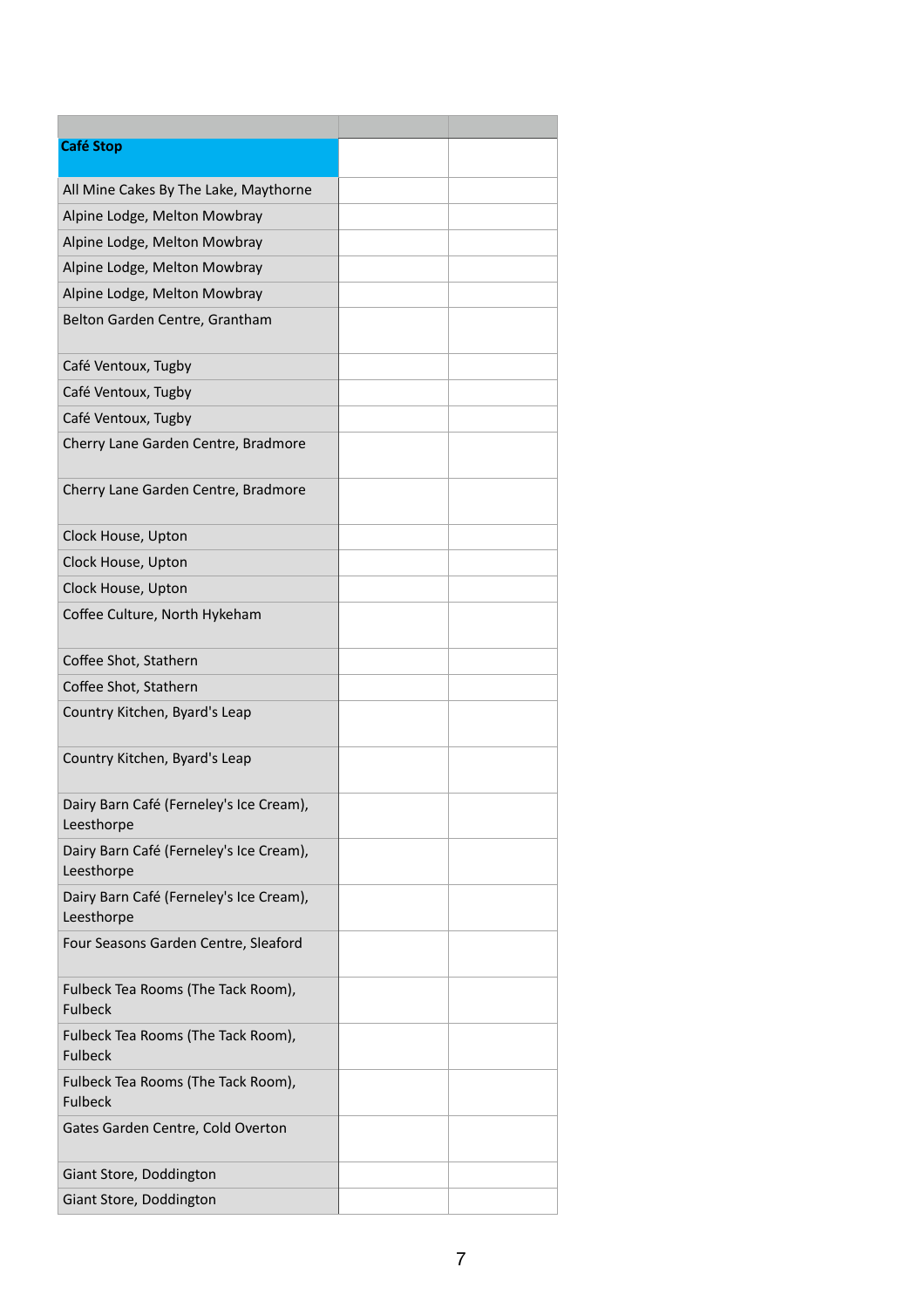| <b>Café Stop</b>                                      |  |
|-------------------------------------------------------|--|
| All Mine Cakes By The Lake, Maythorne                 |  |
| Alpine Lodge, Melton Mowbray                          |  |
| Alpine Lodge, Melton Mowbray                          |  |
| Alpine Lodge, Melton Mowbray                          |  |
| Alpine Lodge, Melton Mowbray                          |  |
| Belton Garden Centre, Grantham                        |  |
| Café Ventoux, Tugby                                   |  |
| Café Ventoux, Tugby                                   |  |
| Café Ventoux, Tugby                                   |  |
| Cherry Lane Garden Centre, Bradmore                   |  |
| Cherry Lane Garden Centre, Bradmore                   |  |
| Clock House, Upton                                    |  |
| Clock House, Upton                                    |  |
| Clock House, Upton                                    |  |
| Coffee Culture, North Hykeham                         |  |
| Coffee Shot, Stathern                                 |  |
| Coffee Shot, Stathern                                 |  |
| Country Kitchen, Byard's Leap                         |  |
| Country Kitchen, Byard's Leap                         |  |
| Dairy Barn Café (Ferneley's Ice Cream),<br>Leesthorpe |  |
| Dairy Barn Café (Ferneley's Ice Cream),<br>Leesthorpe |  |
| Dairy Barn Café (Ferneley's Ice Cream),<br>Leesthorpe |  |
| Four Seasons Garden Centre, Sleaford                  |  |
| Fulbeck Tea Rooms (The Tack Room),<br><b>Fulbeck</b>  |  |
| Fulbeck Tea Rooms (The Tack Room),<br><b>Fulbeck</b>  |  |
| Fulbeck Tea Rooms (The Tack Room),<br><b>Fulbeck</b>  |  |
| Gates Garden Centre, Cold Overton                     |  |
| Giant Store, Doddington                               |  |
| Giant Store, Doddington                               |  |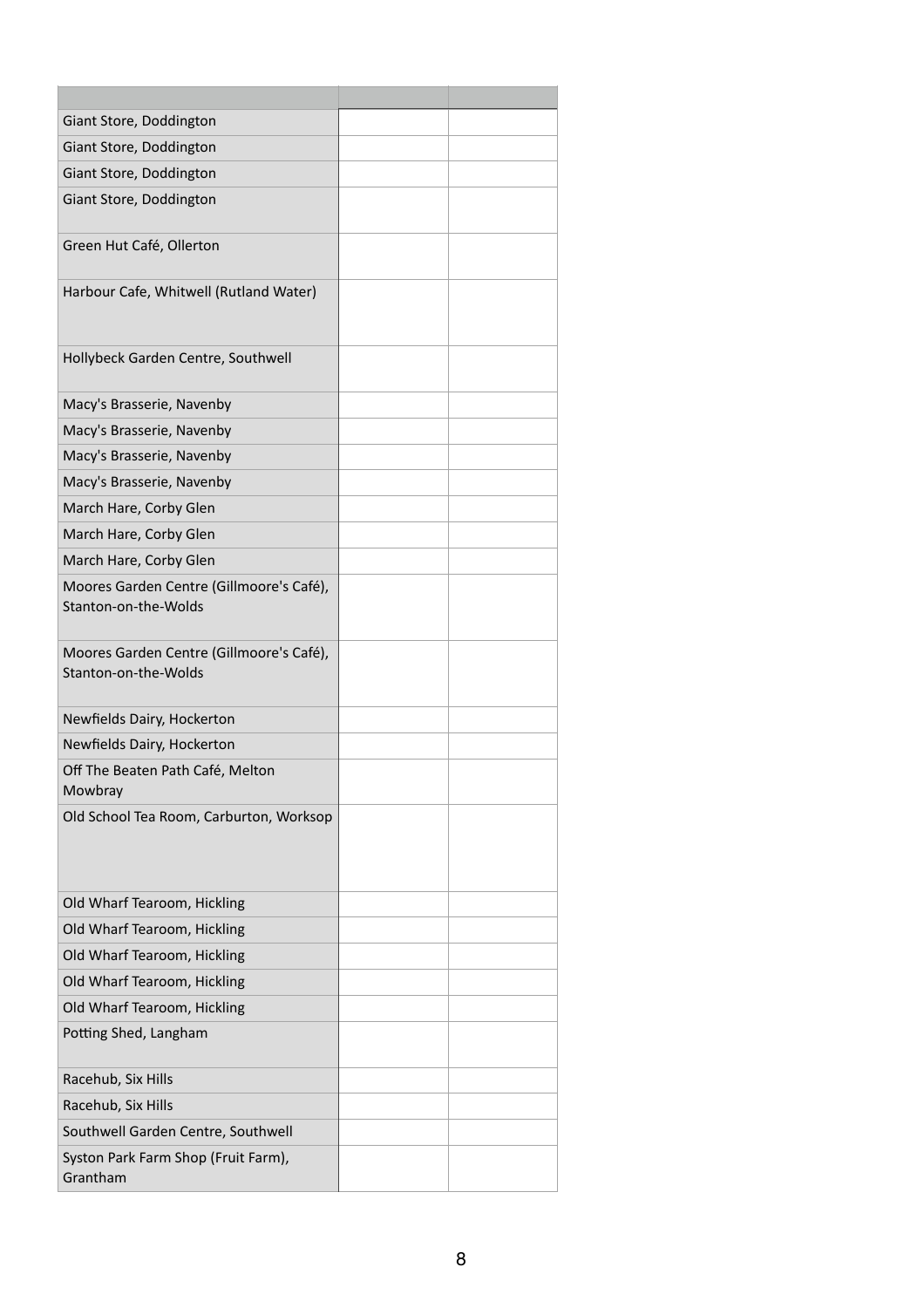| Giant Store, Doddington                                          |  |
|------------------------------------------------------------------|--|
| Giant Store, Doddington                                          |  |
| Giant Store, Doddington                                          |  |
| Giant Store, Doddington                                          |  |
| Green Hut Café, Ollerton                                         |  |
| Harbour Cafe, Whitwell (Rutland Water)                           |  |
| Hollybeck Garden Centre, Southwell                               |  |
| Macy's Brasserie, Navenby                                        |  |
| Macy's Brasserie, Navenby                                        |  |
| Macy's Brasserie, Navenby                                        |  |
| Macy's Brasserie, Navenby                                        |  |
| March Hare, Corby Glen                                           |  |
| March Hare, Corby Glen                                           |  |
| March Hare, Corby Glen                                           |  |
| Moores Garden Centre (Gillmoore's Café),<br>Stanton-on-the-Wolds |  |
| Moores Garden Centre (Gillmoore's Café),<br>Stanton-on-the-Wolds |  |
| Newfields Dairy, Hockerton                                       |  |
| Newfields Dairy, Hockerton                                       |  |
| Off The Beaten Path Café, Melton<br>Mowbray                      |  |
| Old School Tea Room, Carburton, Worksop                          |  |
|                                                                  |  |
|                                                                  |  |
| Old Wharf Tearoom, Hickling                                      |  |
| Old Wharf Tearoom, Hickling                                      |  |
| Old Wharf Tearoom, Hickling                                      |  |
| Old Wharf Tearoom, Hickling                                      |  |
| Old Wharf Tearoom, Hickling                                      |  |
| Potting Shed, Langham                                            |  |
|                                                                  |  |
| Racehub, Six Hills                                               |  |
| Racehub, Six Hills                                               |  |
| Southwell Garden Centre, Southwell                               |  |
| Syston Park Farm Shop (Fruit Farm),<br>Grantham                  |  |